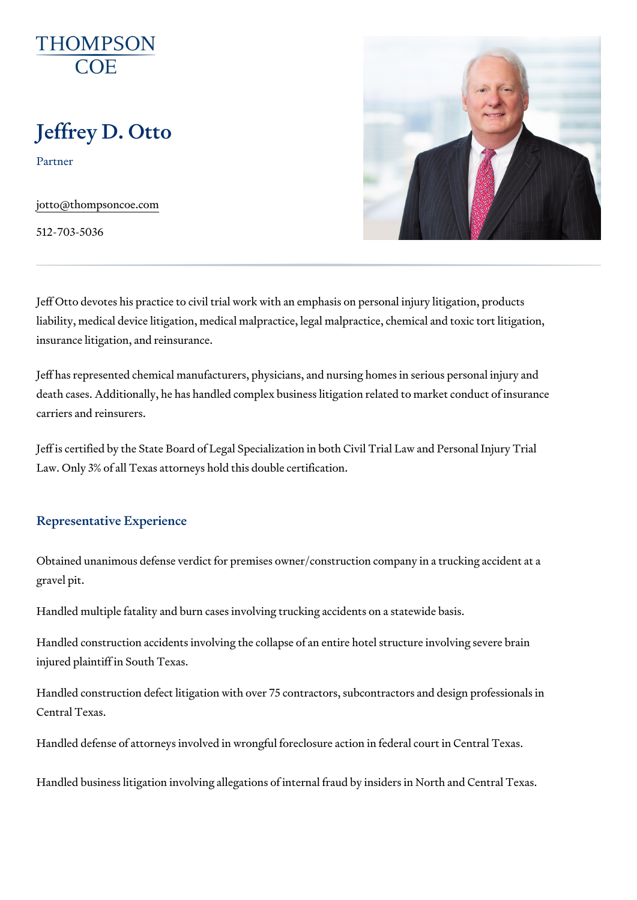# Jeffrey D. Otto

Partner

[jotto@thompson](mailto:jotto@thompsoncoe.com)coe.com

512-703-5036

Jeff Otto devotes his practice to civil trial work with an emphasis on perso liability, medical device litigation, medical malpractice, legal malpractice, insurance litigation, and reinsurance.

Jeff has represented chemical manufacturers, physicians, and nursing hom death cases. Additionally, he has handled complex business litigation rela carriers and reinsurers.

Jeff is certified by the State Board of Legal Specialization in both Civil Tr Law. Only 3% of all Texas attorneys hold this double certification.

## Representative Experience

Obtained unanimous defense verdict for premises owner/construction comp gravel pit.

Handled multiple fatality and burn cases involving trucking accidents on a

Handled construction accidents involving the collapse of an entire hotel st injured plaintiff in South Texas.

Handled construction defect litigation with over 75 contractors, subcontractors Central Texas.

Handled defense of attorneys involved in wrongful foreclosure action in fe

Handled business litigation involving allegations of internal fraud by insid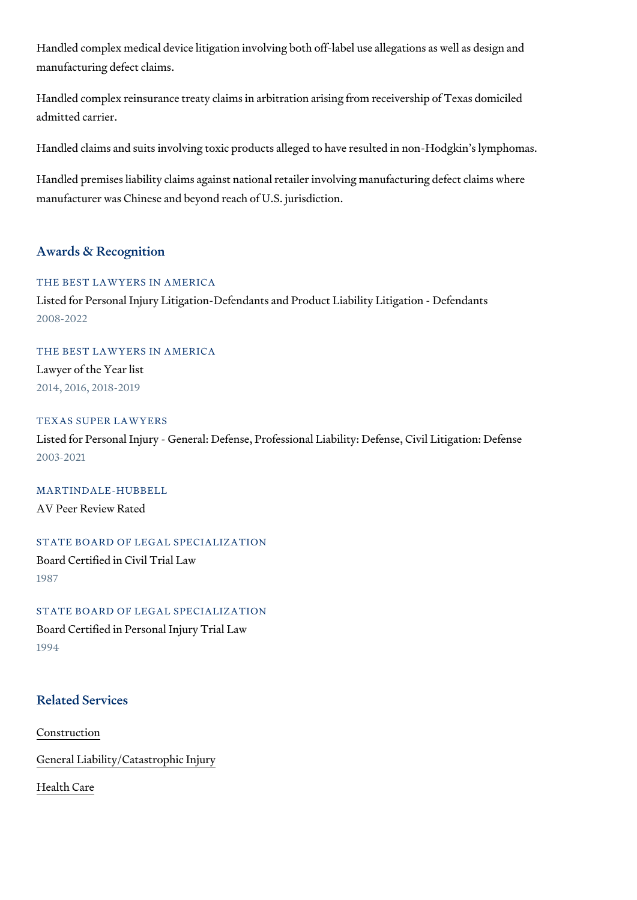Handled complex medical device litigation involving both off-label use alle manufacturing defect claims.

Handled complex reinsurance treaty claims in arbitration arising from rece admitted carrier.

Handled claims and suits involving toxic products alleged to have resulted

Handled premises liability claims against national retailer involving manuf manufacturer was Chinese and beyond reach of U.S. jurisdiction.

#### Awards & Recognition

THE BEST LAWYERS IN AMERICA Listed for Personal Injury Litigation-Defendants and Product Liability Litig 2008-2022

THE BEST LAWYERS IN AMERICA Lawyer of the Year list 2014, 2016, 2018-2019

TEXAS SUPER LAWYERS Listed for Personal Injury - General: Defense, Professional Liability: Defer 2003-2021

MARTINDALE-HUBBELL AV Peer Review Rated

STATE BOARD OF LEGAL SPECIALIZATION Board Certified in Civil Trial Law 1987

STATE BOARD OF LEGAL SPECIALIZATION Board Certified in Personal Injury Trial Law 1994

## Related Services

[Constru](https://www.thompsoncoe.com/people/jeffrey-d-otto/)ction

[General Liability/Catas](https://www.thompsoncoe.com/people/jeffrey-d-otto/)trophic Injury

[Health](https://www.thompsoncoe.com/people/jeffrey-d-otto/) Care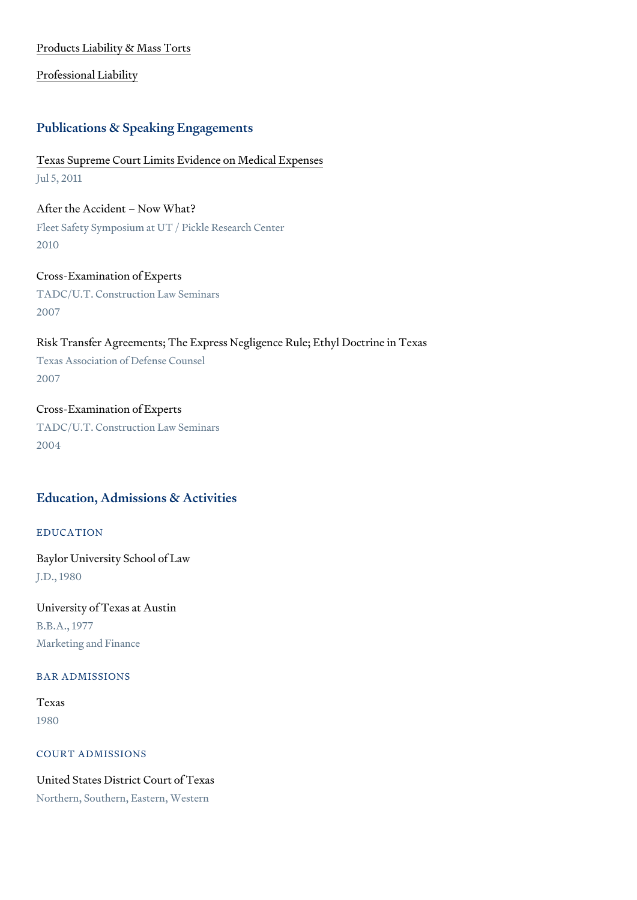#### [Products Liability &](https://www.thompsoncoe.com/people/jeffrey-d-otto/) Mass Torts

## [Professional](https://www.thompsoncoe.com/people/jeffrey-d-otto/) Liability

### Publications & Speaking Engagements

# [Texas Supreme Court Limits Evidenc](https://www.thompsoncoe.com/resources/publications/texas-supreme-court-limits-evidence-on-medical-expenses/)e on Medical Expenses Jul 5, 2011

After the Accident Now What? Fleet Safety Symposium at UT / Pickle Research Center

2010

Cross-Examination of Experts TADC/U.T. Construction Law Seminars 2007

Risk Transfer Agreements; The Express Negligence Rule; Ethyl Doctrine in Texas Association of Defense Counsel 2007

Cross-Examination of Experts TADC/U.T. Construction Law Seminars 2004

# Education, Admissions & Activities

# EDUCATION

Baylor University School of Law J.D., 1980

University of Texas at Austin B.B.A., 1977 Marketing and Finance

## BAR ADMISSIONS

Texas 1980

## COURT ADMISSIONS

United States District Court of Texas Northern, Southern, Eastern, Western